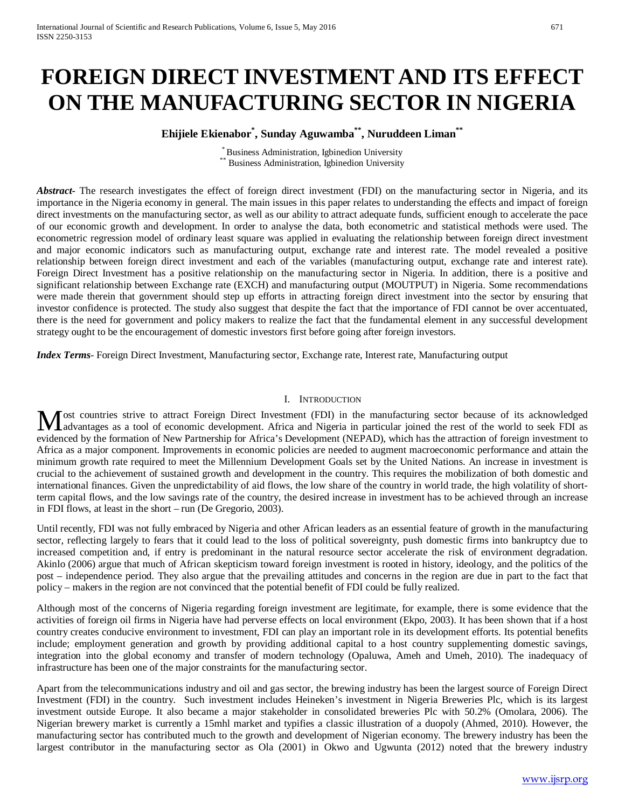# **FOREIGN DIRECT INVESTMENT AND ITS EFFECT ON THE MANUFACTURING SECTOR IN NIGERIA**

# **Ehijiele Ekienabor\* , Sunday Aguwamba\*\*, Nuruddeen Liman\*\***

\* Business Administration, Igbinedion University \*\* Business Administration, Igbinedion University

*Abstract*- The research investigates the effect of foreign direct investment (FDI) on the manufacturing sector in Nigeria, and its importance in the Nigeria economy in general. The main issues in this paper relates to understanding the effects and impact of foreign direct investments on the manufacturing sector, as well as our ability to attract adequate funds, sufficient enough to accelerate the pace of our economic growth and development. In order to analyse the data, both econometric and statistical methods were used. The econometric regression model of ordinary least square was applied in evaluating the relationship between foreign direct investment and major economic indicators such as manufacturing output, exchange rate and interest rate. The model revealed a positive relationship between foreign direct investment and each of the variables (manufacturing output, exchange rate and interest rate). Foreign Direct Investment has a positive relationship on the manufacturing sector in Nigeria. In addition, there is a positive and significant relationship between Exchange rate (EXCH) and manufacturing output (MOUTPUT) in Nigeria. Some recommendations were made therein that government should step up efforts in attracting foreign direct investment into the sector by ensuring that investor confidence is protected. The study also suggest that despite the fact that the importance of FDI cannot be over accentuated, there is the need for government and policy makers to realize the fact that the fundamental element in any successful development strategy ought to be the encouragement of domestic investors first before going after foreign investors.

*Index Terms*- Foreign Direct Investment, Manufacturing sector, Exchange rate, Interest rate, Manufacturing output

## I. INTRODUCTION

ost countries strive to attract Foreign Direct Investment (FDI) in the manufacturing sector because of its acknowledged Most countries strive to attract Foreign Direct Investment (FDI) in the manufacturing sector because of its acknowledged advantages as a tool of economic development. Africa and Nigeria in particular joined the rest of the evidenced by the formation of New Partnership for Africa's Development (NEPAD), which has the attraction of foreign investment to Africa as a major component. Improvements in economic policies are needed to augment macroeconomic performance and attain the minimum growth rate required to meet the Millennium Development Goals set by the United Nations. An increase in investment is crucial to the achievement of sustained growth and development in the country. This requires the mobilization of both domestic and international finances. Given the unpredictability of aid flows, the low share of the country in world trade, the high volatility of shortterm capital flows, and the low savings rate of the country, the desired increase in investment has to be achieved through an increase in FDI flows, at least in the short – run (De Gregorio, 2003).

Until recently, FDI was not fully embraced by Nigeria and other African leaders as an essential feature of growth in the manufacturing sector, reflecting largely to fears that it could lead to the loss of political sovereignty, push domestic firms into bankruptcy due to increased competition and, if entry is predominant in the natural resource sector accelerate the risk of environment degradation. Akinlo (2006) argue that much of African skepticism toward foreign investment is rooted in history, ideology, and the politics of the post – independence period. They also argue that the prevailing attitudes and concerns in the region are due in part to the fact that policy – makers in the region are not convinced that the potential benefit of FDI could be fully realized.

Although most of the concerns of Nigeria regarding foreign investment are legitimate, for example, there is some evidence that the activities of foreign oil firms in Nigeria have had perverse effects on local environment (Ekpo, 2003). It has been shown that if a host country creates conducive environment to investment, FDI can play an important role in its development efforts. Its potential benefits include; employment generation and growth by providing additional capital to a host country supplementing domestic savings, integration into the global economy and transfer of modern technology (Opaluwa, Ameh and Umeh, 2010). The inadequacy of infrastructure has been one of the major constraints for the manufacturing sector.

Apart from the telecommunications industry and oil and gas sector, the brewing industry has been the largest source of Foreign Direct Investment (FDI) in the country. Such investment includes Heineken's investment in Nigeria Breweries Plc, which is its largest investment outside Europe. It also became a major stakeholder in consolidated breweries Plc with 50.2% (Omolara, 2006). The Nigerian brewery market is currently a 15mhl market and typifies a classic illustration of a duopoly (Ahmed, 2010). However, the manufacturing sector has contributed much to the growth and development of Nigerian economy. The brewery industry has been the largest contributor in the manufacturing sector as Ola (2001) in Okwo and Ugwunta (2012) noted that the brewery industry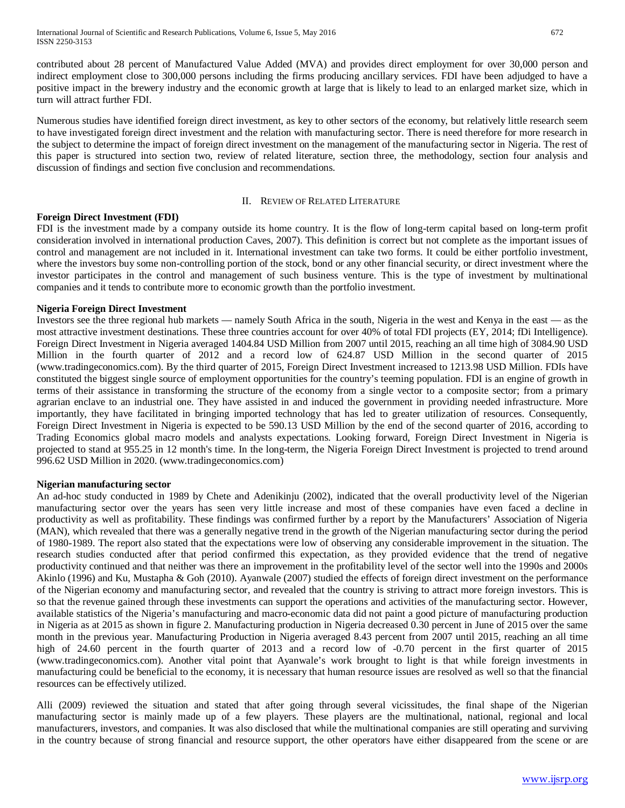contributed about 28 percent of Manufactured Value Added (MVA) and provides direct employment for over 30,000 person and indirect employment close to 300,000 persons including the firms producing ancillary services. FDI have been adjudged to have a positive impact in the brewery industry and the economic growth at large that is likely to lead to an enlarged market size, which in turn will attract further FDI.

Numerous studies have identified foreign direct investment, as key to other sectors of the economy, but relatively little research seem to have investigated foreign direct investment and the relation with manufacturing sector. There is need therefore for more research in the subject to determine the impact of foreign direct investment on the management of the manufacturing sector in Nigeria. The rest of this paper is structured into section two, review of related literature, section three, the methodology, section four analysis and discussion of findings and section five conclusion and recommendations.

## II. REVIEW OF RELATED LITERATURE

# **Foreign Direct Investment (FDI)**

FDI is the investment made by a company outside its home country. It is the flow of long-term capital based on long-term profit consideration involved in international production Caves, 2007). This definition is correct but not complete as the important issues of control and management are not included in it. International investment can take two forms. It could be either portfolio investment, where the investors buy some non-controlling portion of the stock, bond or any other financial security, or direct investment where the investor participates in the control and management of such business venture. This is the type of investment by multinational companies and it tends to contribute more to economic growth than the portfolio investment.

# **Nigeria Foreign Direct Investment**

Investors see the three regional hub markets — namely South Africa in the south, Nigeria in the west and Kenya in the east — as the most attractive investment destinations. These three countries account for over 40% of total FDI projects (EY, 2014; fDi Intelligence). Foreign Direct Investment in Nigeria averaged 1404.84 USD Million from 2007 until 2015, reaching an all time high of 3084.90 USD Million in the fourth quarter of 2012 and a record low of 624.87 USD Million in the second quarter of 2015 (www.tradingeconomics.com). By the third quarter of 2015, Foreign Direct Investment increased to 1213.98 USD Million. FDIs have constituted the biggest single source of employment opportunities for the country's teeming population. FDI is an engine of growth in terms of their assistance in transforming the structure of the economy from a single vector to a composite sector; from a primary agrarian enclave to an industrial one. They have assisted in and induced the government in providing needed infrastructure. More importantly, they have facilitated in bringing imported technology that has led to greater utilization of resources. Consequently, Foreign Direct Investment in Nigeria is expected to be 590.13 USD Million by the end of the second quarter of 2016, according to Trading Economics global macro models and analysts expectations. Looking forward, Foreign Direct Investment in Nigeria is projected to stand at 955.25 in 12 month's time. In the long-term, the Nigeria Foreign Direct Investment is projected to trend around 996.62 USD Million in 2020. (www.tradingeconomics.com)

## **Nigerian manufacturing sector**

An ad-hoc study conducted in 1989 by Chete and Adenikinju (2002), indicated that the overall productivity level of the Nigerian manufacturing sector over the years has seen very little increase and most of these companies have even faced a decline in productivity as well as profitability. These findings was confirmed further by a report by the Manufacturers' Association of Nigeria (MAN), which revealed that there was a generally negative trend in the growth of the Nigerian manufacturing sector during the period of 1980-1989. The report also stated that the expectations were low of observing any considerable improvement in the situation. The research studies conducted after that period confirmed this expectation, as they provided evidence that the trend of negative productivity continued and that neither was there an improvement in the profitability level of the sector well into the 1990s and 2000s Akinlo (1996) and Ku, Mustapha & Goh (2010). Ayanwale (2007) studied the effects of foreign direct investment on the performance of the Nigerian economy and manufacturing sector, and revealed that the country is striving to attract more foreign investors. This is so that the revenue gained through these investments can support the operations and activities of the manufacturing sector. However, available statistics of the Nigeria's manufacturing and macro-economic data did not paint a good picture of manufacturing production in Nigeria as at 2015 as shown in figure 2. Manufacturing production in Nigeria decreased 0.30 percent in June of 2015 over the same month in the previous year. Manufacturing Production in Nigeria averaged 8.43 percent from 2007 until 2015, reaching an all time high of 24.60 percent in the fourth quarter of 2013 and a record low of -0.70 percent in the first quarter of 2015 (www.tradingeconomics.com). Another vital point that Ayanwale's work brought to light is that while foreign investments in manufacturing could be beneficial to the economy, it is necessary that human resource issues are resolved as well so that the financial resources can be effectively utilized.

Alli (2009) reviewed the situation and stated that after going through several vicissitudes, the final shape of the Nigerian manufacturing sector is mainly made up of a few players. These players are the multinational, national, regional and local manufacturers, investors, and companies. It was also disclosed that while the multinational companies are still operating and surviving in the country because of strong financial and resource support, the other operators have either disappeared from the scene or are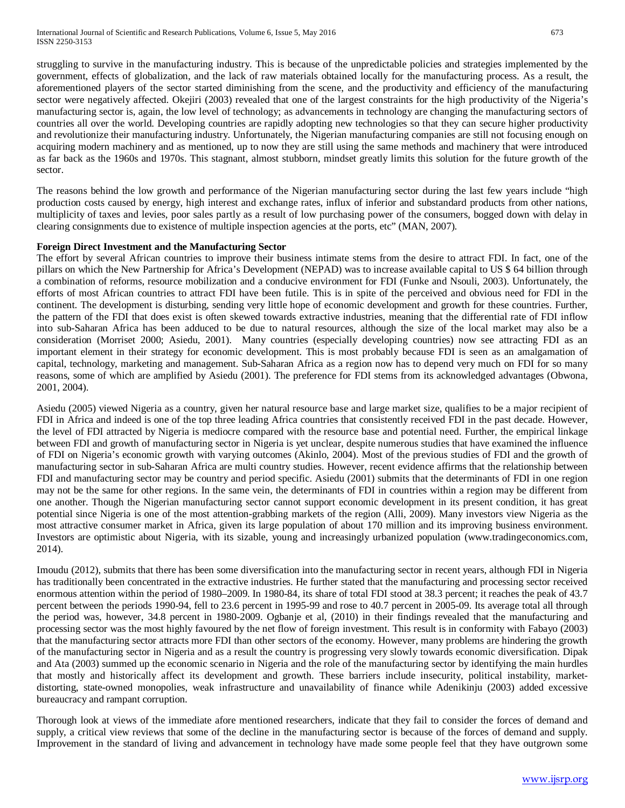struggling to survive in the manufacturing industry. This is because of the unpredictable policies and strategies implemented by the government, effects of globalization, and the lack of raw materials obtained locally for the manufacturing process. As a result, the aforementioned players of the sector started diminishing from the scene, and the productivity and efficiency of the manufacturing sector were negatively affected. Okejiri (2003) revealed that one of the largest constraints for the high productivity of the Nigeria's manufacturing sector is, again, the low level of technology; as advancements in technology are changing the manufacturing sectors of countries all over the world. Developing countries are rapidly adopting new technologies so that they can secure higher productivity and revolutionize their manufacturing industry. Unfortunately, the Nigerian manufacturing companies are still not focusing enough on acquiring modern machinery and as mentioned, up to now they are still using the same methods and machinery that were introduced as far back as the 1960s and 1970s. This stagnant, almost stubborn, mindset greatly limits this solution for the future growth of the sector.

The reasons behind the low growth and performance of the Nigerian manufacturing sector during the last few years include "high production costs caused by energy, high interest and exchange rates, influx of inferior and substandard products from other nations, multiplicity of taxes and levies, poor sales partly as a result of low purchasing power of the consumers, bogged down with delay in clearing consignments due to existence of multiple inspection agencies at the ports, etc" (MAN, 2007).

# **Foreign Direct Investment and the Manufacturing Sector**

The effort by several African countries to improve their business intimate stems from the desire to attract FDI. In fact, one of the pillars on which the New Partnership for Africa's Development (NEPAD) was to increase available capital to US \$ 64 billion through a combination of reforms, resource mobilization and a conducive environment for FDI (Funke and Nsouli, 2003). Unfortunately, the efforts of most African countries to attract FDI have been futile. This is in spite of the perceived and obvious need for FDI in the continent. The development is disturbing, sending very little hope of economic development and growth for these countries. Further, the pattern of the FDI that does exist is often skewed towards extractive industries, meaning that the differential rate of FDI inflow into sub-Saharan Africa has been adduced to be due to natural resources, although the size of the local market may also be a consideration (Morriset 2000; Asiedu, 2001). Many countries (especially developing countries) now see attracting FDI as an important element in their strategy for economic development. This is most probably because FDI is seen as an amalgamation of capital, technology, marketing and management. Sub-Saharan Africa as a region now has to depend very much on FDI for so many reasons, some of which are amplified by Asiedu (2001). The preference for FDI stems from its acknowledged advantages (Obwona, 2001, 2004).

Asiedu (2005) viewed Nigeria as a country, given her natural resource base and large market size, qualifies to be a major recipient of FDI in Africa and indeed is one of the top three leading Africa countries that consistently received FDI in the past decade. However, the level of FDI attracted by Nigeria is mediocre compared with the resource base and potential need. Further, the empirical linkage between FDI and growth of manufacturing sector in Nigeria is yet unclear, despite numerous studies that have examined the influence of FDI on Nigeria's economic growth with varying outcomes (Akinlo, 2004). Most of the previous studies of FDI and the growth of manufacturing sector in sub-Saharan Africa are multi country studies. However, recent evidence affirms that the relationship between FDI and manufacturing sector may be country and period specific. Asiedu (2001) submits that the determinants of FDI in one region may not be the same for other regions. In the same vein, the determinants of FDI in countries within a region may be different from one another. Though the Nigerian manufacturing sector cannot support economic development in its present condition, it has great potential since Nigeria is one of the most attention-grabbing markets of the region (Alli, 2009). Many investors view Nigeria as the most attractive consumer market in Africa, given its large population of about 170 million and its improving business environment. Investors are optimistic about Nigeria, with its sizable, young and increasingly urbanized population (www.tradingeconomics.com, 2014).

Imoudu (2012), submits that there has been some diversification into the manufacturing sector in recent years, although FDI in Nigeria has traditionally been concentrated in the extractive industries. He further stated that the manufacturing and processing sector received enormous attention within the period of 1980–2009. In 1980-84, its share of total FDI stood at 38.3 percent; it reaches the peak of 43.7 percent between the periods 1990-94, fell to 23.6 percent in 1995-99 and rose to 40.7 percent in 2005-09. Its average total all through the period was, however, 34.8 percent in 1980-2009. Ogbanje et al, (2010) in their findings revealed that the manufacturing and processing sector was the most highly favoured by the net flow of foreign investment. This result is in conformity with Fabayo (2003) that the manufacturing sector attracts more FDI than other sectors of the economy. However, many problems are hindering the growth of the manufacturing sector in Nigeria and as a result the country is progressing very slowly towards economic diversification. Dipak and Ata (2003) summed up the economic scenario in Nigeria and the role of the manufacturing sector by identifying the main hurdles that mostly and historically affect its development and growth. These barriers include insecurity, political instability, marketdistorting, state-owned monopolies, weak infrastructure and unavailability of finance while Adenikinju (2003) added excessive bureaucracy and rampant corruption.

Thorough look at views of the immediate afore mentioned researchers, indicate that they fail to consider the forces of demand and supply, a critical view reviews that some of the decline in the manufacturing sector is because of the forces of demand and supply. Improvement in the standard of living and advancement in technology have made some people feel that they have outgrown some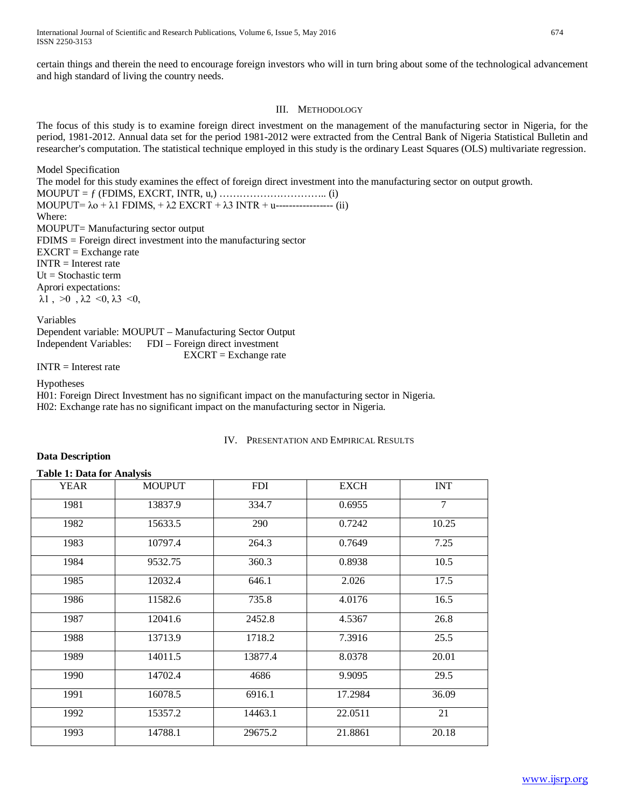certain things and therein the need to encourage foreign investors who will in turn bring about some of the technological advancement and high standard of living the country needs.

# III. METHODOLOGY

The focus of this study is to examine foreign direct investment on the management of the manufacturing sector in Nigeria, for the period, 1981-2012. Annual data set for the period 1981-2012 were extracted from the Central Bank of Nigeria Statistical Bulletin and researcher's computation. The statistical technique employed in this study is the ordinary Least Squares (OLS) multivariate regression.

Model Specification The model for this study examines the effect of foreign direct investment into the manufacturing sector on output growth. MOUPUT = ƒ (FDIMS, EXCRT, INTR, u,) ………………………….. (i) MOUPUT=  $\lambda$ o +  $\lambda$ 1 FDIMS, +  $\lambda$ 2 EXCRT +  $\lambda$ 3 INTR + u------------------ (ii) Where: MOUPUT= Manufacturing sector output FDIMS = Foreign direct investment into the manufacturing sector EXCRT = Exchange rate INTR = Interest rate  $Ut = Stochastic term$ Aprori expectations:  $\lambda$ 1,  $>0$ ,  $\lambda$ 2 < 0,  $\lambda$ 3 < 0,

Variables Dependent variable: MOUPUT – Manufacturing Sector Output

Independent Variables: FDI – Foreign direct investment EXCRT = Exchange rate

 $INTR = Interest rate$ 

Hypotheses

H01: Foreign Direct Investment has no significant impact on the manufacturing sector in Nigeria. H02: Exchange rate has no significant impact on the manufacturing sector in Nigeria.

# IV. PRESENTATION AND EMPIRICAL RESULTS

# **Data Description**

# **Table 1: Data for Analysis**

| <b>YEAR</b> | <b>MOUPUT</b> | <b>FDI</b><br><b>EXCH</b> |         | <b>INT</b>     |
|-------------|---------------|---------------------------|---------|----------------|
| 1981        | 13837.9       | 334.7                     | 0.6955  | $\overline{7}$ |
| 1982        | 15633.5       | 290                       | 0.7242  | 10.25          |
| 1983        | 10797.4       | 264.3                     | 0.7649  | 7.25           |
| 1984        | 9532.75       | 360.3                     | 0.8938  | 10.5           |
| 1985        | 12032.4       | 646.1                     | 2.026   | 17.5           |
| 1986        | 11582.6       | 735.8                     | 4.0176  | 16.5           |
| 1987        | 12041.6       | 2452.8                    | 4.5367  | 26.8           |
| 1988        | 13713.9       | 1718.2                    | 7.3916  | 25.5           |
| 1989        | 14011.5       | 13877.4                   | 8.0378  | 20.01          |
| 1990        | 14702.4       | 4686                      | 9.9095  | 29.5           |
| 1991        | 16078.5       | 6916.1                    | 17.2984 | 36.09          |
| 1992        | 15357.2       | 14463.1                   | 22.0511 | 21             |
| 1993        | 14788.1       | 29675.2                   | 21.8861 | 20.18          |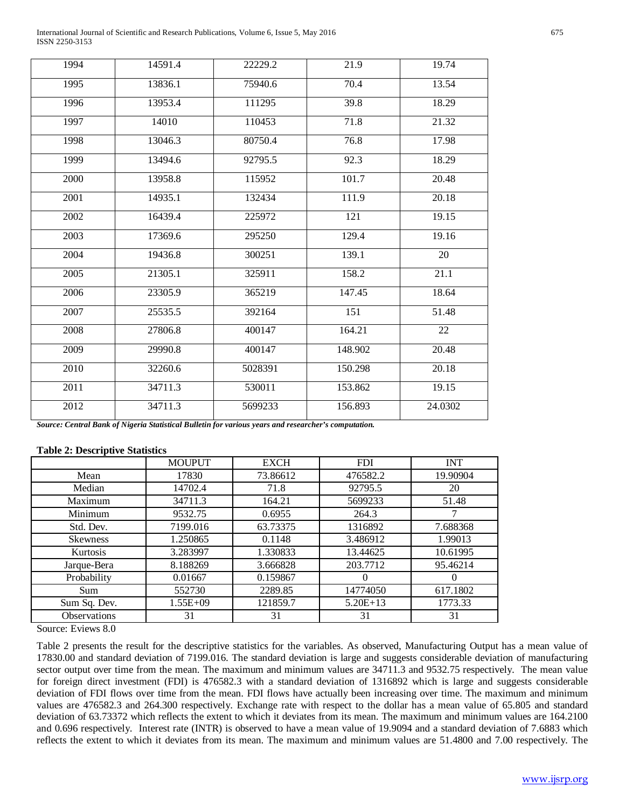International Journal of Scientific and Research Publications, Volume 6, Issue 5, May 2016 675 ISSN 2250-3153

| 1994 | 14591.4              | 22229.2 | 21.9    | 19.74   |
|------|----------------------|---------|---------|---------|
| 1995 | 13836.1              | 75940.6 | 70.4    | 13.54   |
| 1996 | 13953.4              | 111295  | 39.8    | 18.29   |
| 1997 | 14010                | 110453  | 71.8    | 21.32   |
| 1998 | 13046.3              | 80750.4 | 76.8    | 17.98   |
| 1999 | 13494.6              | 92795.5 | 92.3    | 18.29   |
| 2000 | 13958.8              | 115952  | 101.7   | 20.48   |
| 2001 | 14935.1              | 132434  | 111.9   | 20.18   |
| 2002 | 16439.4              | 225972  | 121     | 19.15   |
| 2003 | 17369.6              | 295250  | 129.4   | 19.16   |
| 2004 | 19436.8              | 300251  | 139.1   | $20\,$  |
| 2005 | 21305.1              | 325911  | 158.2   | 21.1    |
| 2006 | 23305.9              | 365219  | 147.45  | 18.64   |
| 2007 | 25535.5              | 392164  | 151     | 51.48   |
| 2008 | 27806.8              | 400147  | 164.21  | 22      |
| 2009 | 29990.8              | 400147  | 148.902 | 20.48   |
| 2010 | 32260.6              | 5028391 | 150.298 | 20.18   |
| 2011 | 34711.3              | 530011  | 153.862 | 19.15   |
| 2012 | $\overline{347}11.3$ | 5699233 | 156.893 | 24.0302 |

*Source: Central Bank of Nigeria Statistical Bulletin for various years and researcher's computation.*

## **Table 2: Descriptive Statistics**

|                 | <b>MOUPUT</b> | <b>EXCH</b> | <b>FDI</b> | <b>INT</b> |
|-----------------|---------------|-------------|------------|------------|
| Mean            | 17830         | 73.86612    | 476582.2   | 19.90904   |
| Median          | 14702.4       | 71.8        | 92795.5    | 20         |
| Maximum         | 34711.3       | 164.21      | 5699233    | 51.48      |
| Minimum         | 9532.75       | 0.6955      | 264.3      |            |
| Std. Dev.       | 7199.016      | 63.73375    | 1316892    | 7.688368   |
| <b>Skewness</b> | 1.250865      | 0.1148      | 3.486912   | 1.99013    |
| Kurtosis        | 3.283997      | 1.330833    | 13.44625   | 10.61995   |
| Jarque-Bera     | 8.188269      | 3.666828    | 203.7712   | 95.46214   |
| Probability     | 0.01667       | 0.159867    |            | 0          |
| <b>Sum</b>      | 552730        | 2289.85     | 14774050   | 617.1802   |
| Sum Sq. Dev.    | $1.55E + 09$  | 121859.7    | $5.20E+13$ | 1773.33    |
| Observations    | 31            | 31          | 31         | 31         |

Source: Eviews 8.0

Table 2 presents the result for the descriptive statistics for the variables. As observed, Manufacturing Output has a mean value of 17830.00 and standard deviation of 7199.016. The standard deviation is large and suggests considerable deviation of manufacturing sector output over time from the mean. The maximum and minimum values are 34711.3 and 9532.75 respectively. The mean value for foreign direct investment (FDI) is 476582.3 with a standard deviation of 1316892 which is large and suggests considerable deviation of FDI flows over time from the mean. FDI flows have actually been increasing over time. The maximum and minimum values are 476582.3 and 264.300 respectively. Exchange rate with respect to the dollar has a mean value of 65.805 and standard deviation of 63.73372 which reflects the extent to which it deviates from its mean. The maximum and minimum values are 164.2100 and 0.696 respectively. Interest rate (INTR) is observed to have a mean value of 19.9094 and a standard deviation of 7.6883 which reflects the extent to which it deviates from its mean. The maximum and minimum values are 51.4800 and 7.00 respectively. The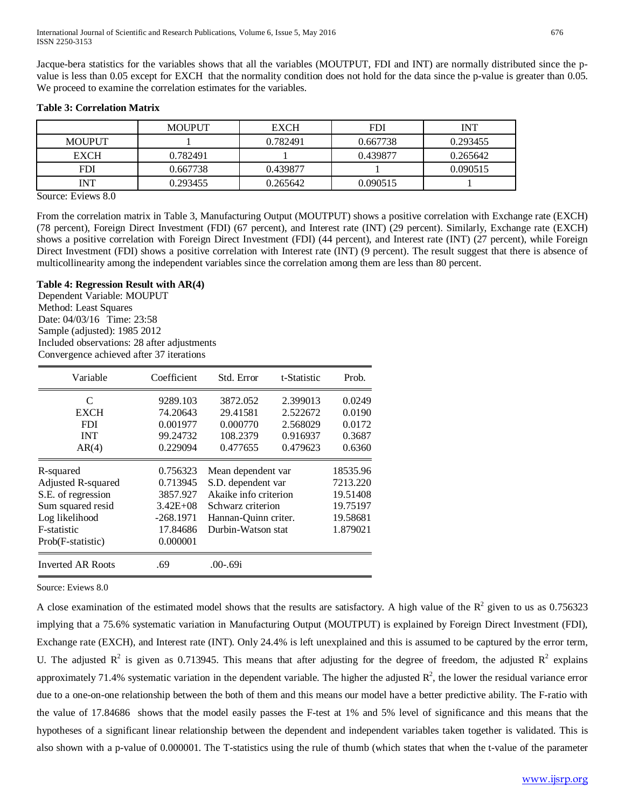Jacque-bera statistics for the variables shows that all the variables (MOUTPUT, FDI and INT) are normally distributed since the pvalue is less than 0.05 except for EXCH that the normality condition does not hold for the data since the p-value is greater than 0.05. We proceed to examine the correlation estimates for the variables.

## **Table 3: Correlation Matrix**

|               | <b>MOUPUT</b> | <b>EXCH</b> | <b>FDI</b>           | <b>INT</b> |  |
|---------------|---------------|-------------|----------------------|------------|--|
| <b>MOUPUT</b> |               | 0.782491    | 0.667738<br>0.293455 |            |  |
| <b>EXCH</b>   | 0.782491      | 0.439877    |                      | 0.265642   |  |
| <b>FDI</b>    | 0.667738      | 0.439877    |                      | 0.090515   |  |
| <b>INT</b>    | 0.293455      | 0.265642    | 0.090515             |            |  |

Source: Eviews 8.0

From the correlation matrix in Table 3, Manufacturing Output (MOUTPUT) shows a positive correlation with Exchange rate (EXCH) (78 percent), Foreign Direct Investment (FDI) (67 percent), and Interest rate (INT) (29 percent). Similarly, Exchange rate (EXCH) shows a positive correlation with Foreign Direct Investment (FDI) (44 percent), and Interest rate (INT) (27 percent), while Foreign Direct Investment (FDI) shows a positive correlation with Interest rate (INT) (9 percent). The result suggest that there is absence of multicollinearity among the independent variables since the correlation among them are less than 80 percent.

## **Table 4: Regression Result with AR(4)**

Dependent Variable: MOUPUT Method: Least Squares Date: 04/03/16 Time: 23:58 Sample (adjusted): 1985 2012 Included observations: 28 after adjustments Convergence achieved after 37 iterations

| Variable           | Coefficient   | Std. Error            | t-Statistic | Prob.    |
|--------------------|---------------|-----------------------|-------------|----------|
| C                  | 9289.103      | 3872.052              | 2.399013    | 0.0249   |
| <b>EXCH</b>        | 74.20643      | 29.41581              | 2.522672    | 0.0190   |
| <b>FDI</b>         | 0.001977      | 0.000770              | 2.568029    | 0.0172   |
| <b>INT</b>         | 99.24732      | 108.2379              | 0.916937    | 0.3687   |
| AR(4)              | 0.229094      | 0.477655              | 0.479623    | 0.6360   |
| R-squared          | 0.756323      | Mean dependent var    |             | 18535.96 |
| Adjusted R-squared | 0.713945      | S.D. dependent var    |             | 7213.220 |
| S.E. of regression | 3857.927      | Akaike info criterion |             | 19.51408 |
| Sum squared resid  | $3.42E + 0.8$ | Schwarz criterion     |             | 19.75197 |
| Log likelihood     | $-268.1971$   | Hannan-Quinn criter.  |             | 19.58681 |
| F-statistic        | 17.84686      | Durbin-Watson stat    |             | 1.879021 |
| Prob(F-statistic)  | 0.000001      |                       |             |          |
| Inverted AR Roots  | .69           | $.00-69i$             |             |          |

Source: Eviews 8.0

A close examination of the estimated model shows that the results are satisfactory. A high value of the  $R^2$  given to us as 0.756323 implying that a 75.6% systematic variation in Manufacturing Output (MOUTPUT) is explained by Foreign Direct Investment (FDI), Exchange rate (EXCH), and Interest rate (INT). Only 24.4% is left unexplained and this is assumed to be captured by the error term, U. The adjusted  $R^2$  is given as 0.713945. This means that after adjusting for the degree of freedom, the adjusted  $R^2$  explains approximately 71.4% systematic variation in the dependent variable. The higher the adjusted  $\mathbb{R}^2$ , the lower the residual variance error due to a one-on-one relationship between the both of them and this means our model have a better predictive ability. The F-ratio with the value of 17.84686 shows that the model easily passes the F-test at 1% and 5% level of significance and this means that the hypotheses of a significant linear relationship between the dependent and independent variables taken together is validated. This is also shown with a p-value of 0.000001. The T-statistics using the rule of thumb (which states that when the t-value of the parameter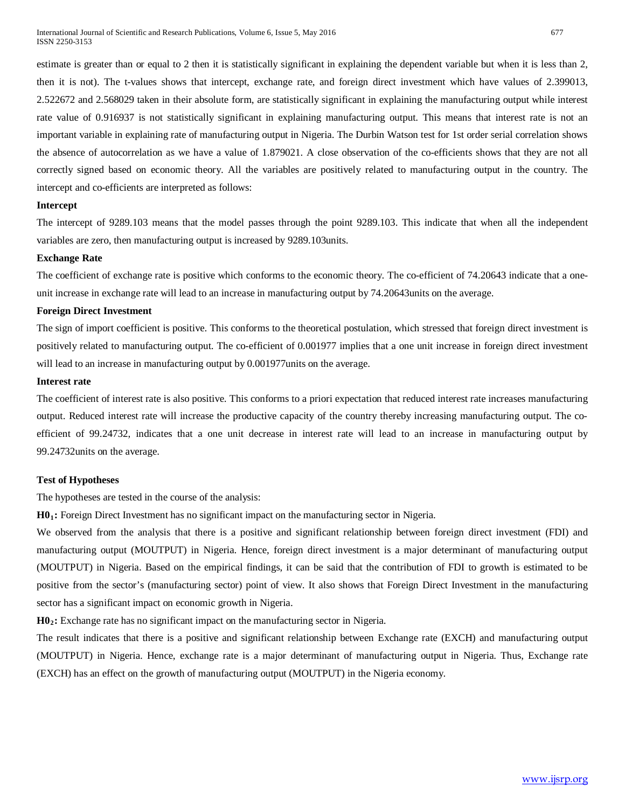estimate is greater than or equal to 2 then it is statistically significant in explaining the dependent variable but when it is less than 2, then it is not). The t-values shows that intercept, exchange rate, and foreign direct investment which have values of 2.399013, 2.522672 and 2.568029 taken in their absolute form, are statistically significant in explaining the manufacturing output while interest rate value of 0.916937 is not statistically significant in explaining manufacturing output. This means that interest rate is not an important variable in explaining rate of manufacturing output in Nigeria. The Durbin Watson test for 1st order serial correlation shows the absence of autocorrelation as we have a value of 1.879021. A close observation of the co-efficients shows that they are not all correctly signed based on economic theory. All the variables are positively related to manufacturing output in the country. The intercept and co-efficients are interpreted as follows:

#### **Intercept**

The intercept of 9289.103 means that the model passes through the point 9289.103. This indicate that when all the independent variables are zero, then manufacturing output is increased by 9289.103units.

## **Exchange Rate**

The coefficient of exchange rate is positive which conforms to the economic theory. The co-efficient of 74.20643 indicate that a oneunit increase in exchange rate will lead to an increase in manufacturing output by 74.20643units on the average.

# **Foreign Direct Investment**

The sign of import coefficient is positive. This conforms to the theoretical postulation, which stressed that foreign direct investment is positively related to manufacturing output. The co-efficient of 0.001977 implies that a one unit increase in foreign direct investment will lead to an increase in manufacturing output by 0.001977units on the average.

#### **Interest rate**

The coefficient of interest rate is also positive. This conforms to a priori expectation that reduced interest rate increases manufacturing output. Reduced interest rate will increase the productive capacity of the country thereby increasing manufacturing output. The coefficient of 99.24732, indicates that a one unit decrease in interest rate will lead to an increase in manufacturing output by 99.24732units on the average.

#### **Test of Hypotheses**

The hypotheses are tested in the course of the analysis:

**H01:** Foreign Direct Investment has no significant impact on the manufacturing sector in Nigeria.

We observed from the analysis that there is a positive and significant relationship between foreign direct investment (FDI) and manufacturing output (MOUTPUT) in Nigeria. Hence, foreign direct investment is a major determinant of manufacturing output (MOUTPUT) in Nigeria. Based on the empirical findings, it can be said that the contribution of FDI to growth is estimated to be positive from the sector's (manufacturing sector) point of view. It also shows that Foreign Direct Investment in the manufacturing sector has a significant impact on economic growth in Nigeria.

**H02:** Exchange rate has no significant impact on the manufacturing sector in Nigeria.

The result indicates that there is a positive and significant relationship between Exchange rate (EXCH) and manufacturing output (MOUTPUT) in Nigeria. Hence, exchange rate is a major determinant of manufacturing output in Nigeria. Thus, Exchange rate (EXCH) has an effect on the growth of manufacturing output (MOUTPUT) in the Nigeria economy.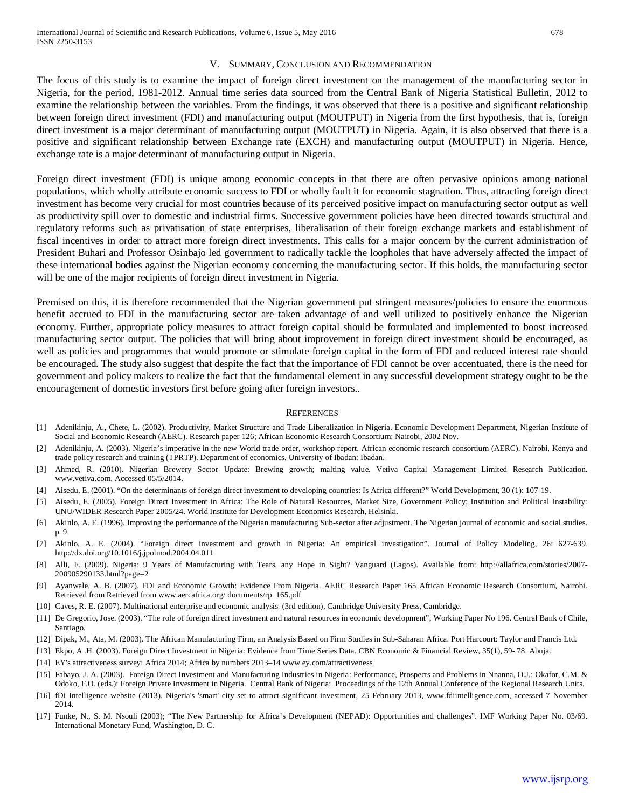#### V. SUMMARY, CONCLUSION AND RECOMMENDATION

The focus of this study is to examine the impact of foreign direct investment on the management of the manufacturing sector in Nigeria, for the period, 1981-2012. Annual time series data sourced from the Central Bank of Nigeria Statistical Bulletin, 2012 to examine the relationship between the variables. From the findings, it was observed that there is a positive and significant relationship between foreign direct investment (FDI) and manufacturing output (MOUTPUT) in Nigeria from the first hypothesis, that is, foreign direct investment is a major determinant of manufacturing output (MOUTPUT) in Nigeria. Again, it is also observed that there is a positive and significant relationship between Exchange rate (EXCH) and manufacturing output (MOUTPUT) in Nigeria. Hence, exchange rate is a major determinant of manufacturing output in Nigeria.

Foreign direct investment (FDI) is unique among economic concepts in that there are often pervasive opinions among national populations, which wholly attribute economic success to FDI or wholly fault it for economic stagnation. Thus, attracting foreign direct investment has become very crucial for most countries because of its perceived positive impact on manufacturing sector output as well as productivity spill over to domestic and industrial firms. Successive government policies have been directed towards structural and regulatory reforms such as privatisation of state enterprises, liberalisation of their foreign exchange markets and establishment of fiscal incentives in order to attract more foreign direct investments. This calls for a major concern by the current administration of President Buhari and Professor Osinbajo led government to radically tackle the loopholes that have adversely affected the impact of these international bodies against the Nigerian economy concerning the manufacturing sector. If this holds, the manufacturing sector will be one of the major recipients of foreign direct investment in Nigeria.

Premised on this, it is therefore recommended that the Nigerian government put stringent measures/policies to ensure the enormous benefit accrued to FDI in the manufacturing sector are taken advantage of and well utilized to positively enhance the Nigerian economy. Further, appropriate policy measures to attract foreign capital should be formulated and implemented to boost increased manufacturing sector output. The policies that will bring about improvement in foreign direct investment should be encouraged, as well as policies and programmes that would promote or stimulate foreign capital in the form of FDI and reduced interest rate should be encouraged. The study also suggest that despite the fact that the importance of FDI cannot be over accentuated, there is the need for government and policy makers to realize the fact that the fundamental element in any successful development strategy ought to be the encouragement of domestic investors first before going after foreign investors..

#### **REFERENCES**

- [1] Adenikinju, A., Chete, L. (2002). Productivity, Market Structure and Trade Liberalization in Nigeria. Economic Development Department, Nigerian Institute of Social and Economic Research (AERC). Research paper 126; African Economic Research Consortium: Nairobi, 2002 Nov.
- [2] Adenikinju, A. (2003). Nigeria's imperative in the new World trade order, workshop report. African economic research consortium (AERC). Nairobi, Kenya and trade policy research and training (TPRTP). Department of economics, University of Ibadan: Ibadan.
- [3] Ahmed, R. (2010). Nigerian Brewery Sector Update: Brewing growth; malting value. Vetiva Capital Management Limited Research Publication. www.vetiva.com. Accessed 05/5/2014.
- [4] Aisedu, E. (2001). "On the determinants of foreign direct investment to developing countries: Is Africa different?" World Development, 30 (1): 107-19.
- [5] Aisedu, E. (2005). Foreign Direct Investment in Africa: The Role of Natural Resources, Market Size, Government Policy; Institution and Political Instability: UNU/WIDER Research Paper 2005/24. World Institute for Development Economics Research, Helsinki.
- [6] Akinlo, A. E. (1996). Improving the performance of the Nigerian manufacturing Sub-sector after adjustment. The Nigerian journal of economic and social studies. p. 9.
- [7] Akinlo, A. E. (2004). "Foreign direct investment and growth in Nigeria: An empirical investigation". Journal of Policy Modeling, 26: 627-639. http://dx.doi.org/10.1016/j.jpolmod.2004.04.011
- [8] Alli, F. (2009). Nigeria: 9 Years of Manufacturing with Tears, any Hope in Sight? Vanguard (Lagos). Available from: http://allafrica.com/stories/2007- 200905290133.html?page=2
- [9] Ayanwale, A. B. (2007). FDI and Economic Growth: Evidence From Nigeria. AERC Research Paper 165 African Economic Research Consortium, Nairobi. Retrieved from Retrieved from www.aercafrica.org/ documents/rp\_165.pdf
- [10] Caves, R. E. (2007). Multinational enterprise and economic analysis (3rd edition), Cambridge University Press, Cambridge.
- [11] De Gregorio, Jose. (2003). "The role of foreign direct investment and natural resources in economic development", Working Paper No 196. Central Bank of Chile, Santiago.
- [12] Dipak, M., Ata, M. (2003). The African Manufacturing Firm, an Analysis Based on Firm Studies in Sub-Saharan Africa. Port Harcourt: Taylor and Francis Ltd.
- [13] Ekpo, A .H. (2003). Foreign Direct Investment in Nigeria: Evidence from Time Series Data. CBN Economic & Financial Review, 35(1), 59- 78. Abuja.
- [14] EY's attractiveness survey: Africa 2014; Africa by numbers 2013–14 www.ey.com/attractiveness
- [15] Fabayo, J. A. (2003). Foreign Direct Investment and Manufacturing Industries in Nigeria: Performance, Prospects and Problems in Nnanna, O.J.; Okafor, C.M. & Odoko, F.O. (eds.): Foreign Private Investment in Nigeria. Central Bank of Nigeria: Proceedings of the 12th Annual Conference of the Regional Research Units.
- [16] fDi Intelligence website (2013). Nigeria's 'smart' city set to attract significant investment, 25 February 2013, www.fdiintelligence.com, accessed 7 November 2014.
- [17] Funke, N., S. M. Nsouli (2003); "The New Partnership for Africa's Development (NEPAD): Opportunities and challenges". IMF Working Paper No. 03/69. International Monetary Fund, Washington, D. C.